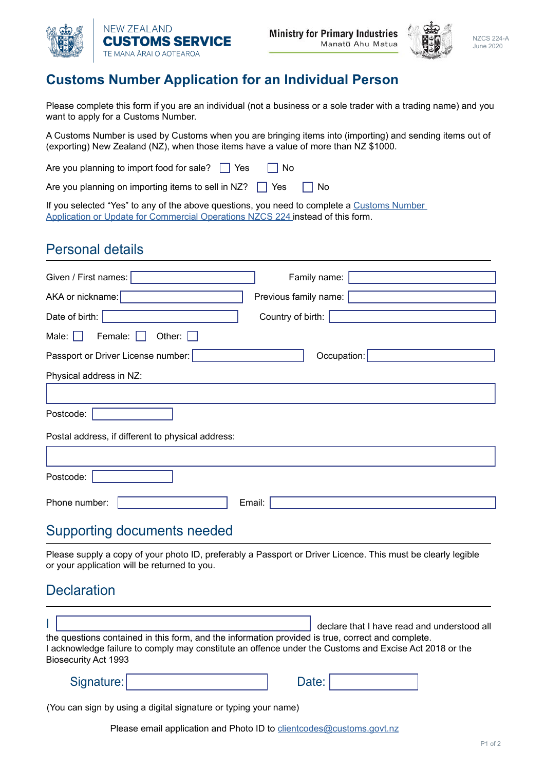



## **Customs Number Application for an Individual Person**

Please complete this form if you are an individual (not a business or a sole trader with a trading name) and you want to apply for a Customs Number.

A Customs Number is used by Customs when you are bringing items into (importing) and sending items out of (exporting) New Zealand (NZ), when those items have a value of more than NZ \$1000.

Are you planning to import food for sale?  $\Box$  Yes  $\Box$  No

Are you planning on importing items to sell in NZ?  $\Box$  Yes  $\Box$  No

If you selected "Yes" to any of the above questions, you need to complete a Customs Number [Application or Update for Commercial Operations NZCS 224](http://Customs Number Application - Commercial NZCS 224 ) instead of this form.

## Personal details

| Family name:<br>Given / First names:                                                                                                                         |
|--------------------------------------------------------------------------------------------------------------------------------------------------------------|
| AKA or nickname:<br>Previous family name:                                                                                                                    |
| Date of birth:<br>Country of birth:                                                                                                                          |
| Other: $\Box$<br>Female:<br>Male: $\Box$                                                                                                                     |
| Passport or Driver License number:<br>Occupation:                                                                                                            |
| Physical address in NZ:                                                                                                                                      |
|                                                                                                                                                              |
| Postcode:                                                                                                                                                    |
| Postal address, if different to physical address:                                                                                                            |
|                                                                                                                                                              |
| Postcode:                                                                                                                                                    |
| Phone number:<br>Email:                                                                                                                                      |
| <b>Supporting documents needed</b>                                                                                                                           |
| Please supply a copy of your photo ID, preferably a Passport or Driver Licence. This must be clearly legible<br>or your application will be returned to you. |
| <b>Declaration</b>                                                                                                                                           |
| declare that I have read and understood all                                                                                                                  |

the questions contained in this form, and the information provided is true, correct and complete. I acknowledge failure to comply may constitute an offence under the Customs and Excise Act 2018 or the Biosecurity Act 1993

| Signature: |  |  |
|------------|--|--|
|            |  |  |

(You can sign by using a digital signature or typing your name)

Please email application and Photo ID to clientcodes@customs.govt.nz